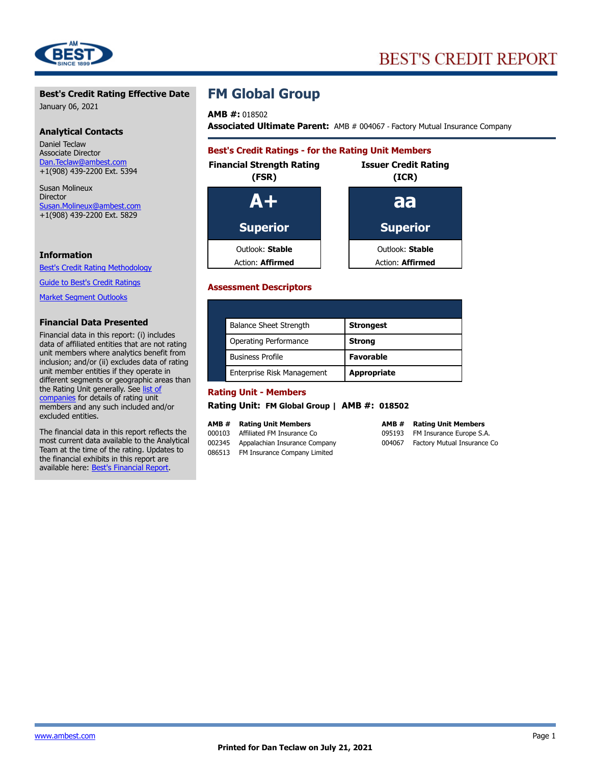

#### **Best's Credit Rating Effective Date**

January 06, 2021

#### **Analytical Contacts**

Daniel Teclaw Associate Director Dan.Teclaw@ambest.com +1(908) 439-2200 Ext. 5394

Susan Molineux Director Susan.Molineux@ambest.com +1(908) 439-2200 Ext. 5829

#### **Information**

[Best's Credit Rating Methodology](http://www.ambest.com/ratings/methodology.asp)

[Guide to Best's Credit Ratings](http://www.ambest.com/ratings/index.html)

[Market Segment Outlooks](http://www.ambest.com/ratings/RatingOutlook.asp)

#### **Financial Data Presented**

Financial data in this report: (i) includes data of affiliated entities that are not rating unit members where analytics benefit from inclusion; and/or (ii) excludes data of rating unit member entities if they operate in different segments or geographic areas than the Rating Unit generally. See [list of](http://bestlink.ambest.com/BIRRURecon/BIRRatingUnitRecon.aspx?amb=18502&ReconID=2&app=blgw) [companies](http://bestlink.ambest.com/BIRRURecon/BIRRatingUnitRecon.aspx?amb=18502&ReconID=2&app=blgw) for details of rating unit members and any such included and/or excluded entities.

The financial data in this report reflects the most current data available to the Analytical Team at the time of the rating. Updates to the financial exhibits in this report are available here: [Best's Financial Report.](http://bestlink.ambest.com/CompanyRedirect.aspx?ambnum=18502&URatingId=2483809&TabId=6)

## **FM Global Group**

**AMB #:** 018502

**Associated Ultimate Parent:** AMB # 004067 - Factory Mutual Insurance Company

## **Best's Credit Ratings - for the Rating Unit Members Financial Strength Rating Issuer Credit Rating (FSR) (ICR) A+ aa Superior Superior** Outlook: **Stable** Outlook: **Stable** Action: **Affirmed Action: Affirmed**

#### **Assessment Descriptors**

| <b>Balance Sheet Strength</b> | <b>Strongest</b>   |
|-------------------------------|--------------------|
| Operating Performance         | <b>Strong</b>      |
| <b>Business Profile</b>       | <b>Favorable</b>   |
| Enterprise Risk Management    | <b>Appropriate</b> |

#### **Rating Unit - Members**

**Rating Unit: FM Global Group | AMB #: 018502**

#### **AMB # Rating Unit Members**

000103 Affiliated FM Insurance Co 002345 Appalachian Insurance Company 086513 FM Insurance Company Limited

#### **AMB # Rating Unit Members** 095193 FM Insurance Europe S.A. 004067 Factory Mutual Insurance Co

<www.ambest.com> **Page 1**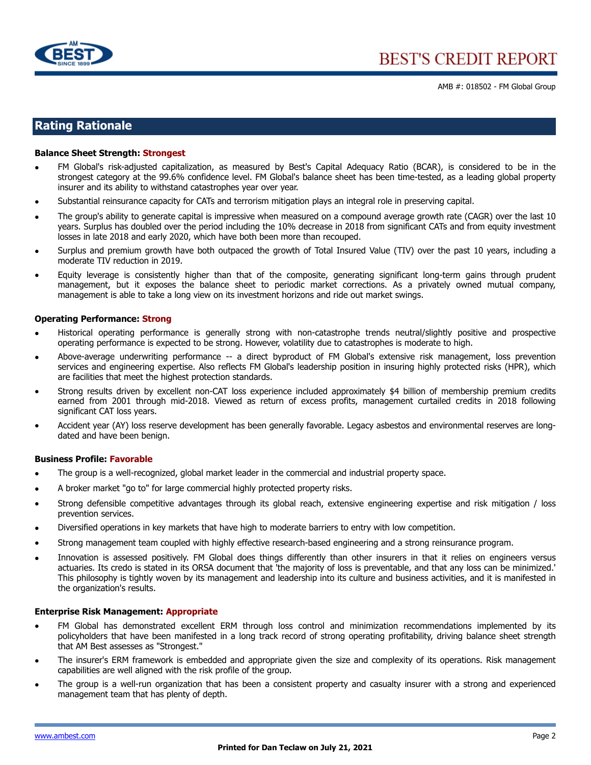

## **Rating Rationale**

#### **Balance Sheet Strength: Strongest**

- FM Global's risk-adjusted capitalization, as measured by Best's Capital Adequacy Ratio (BCAR), is considered to be in the strongest category at the 99.6% confidence level. FM Global's balance sheet has been time-tested, as a leading global property insurer and its ability to withstand catastrophes year over year.
- Substantial reinsurance capacity for CATs and terrorism mitigation plays an integral role in preserving capital.
- The group's ability to generate capital is impressive when measured on a compound average growth rate (CAGR) over the last 10 years. Surplus has doubled over the period including the 10% decrease in 2018 from significant CATs and from equity investment losses in late 2018 and early 2020, which have both been more than recouped.
- Surplus and premium growth have both outpaced the growth of Total Insured Value (TIV) over the past 10 years, including a moderate TIV reduction in 2019.
- Equity leverage is consistently higher than that of the composite, generating significant long-term gains through prudent management, but it exposes the balance sheet to periodic market corrections. As a privately owned mutual company, management is able to take a long view on its investment horizons and ride out market swings.

#### **Operating Performance: Strong**

- Historical operating performance is generally strong with non-catastrophe trends neutral/slightly positive and prospective operating performance is expected to be strong. However, volatility due to catastrophes is moderate to high.
- Above-average underwriting performance -- a direct byproduct of FM Global's extensive risk management, loss prevention services and engineering expertise. Also reflects FM Global's leadership position in insuring highly protected risks (HPR), which are facilities that meet the highest protection standards.
- Strong results driven by excellent non-CAT loss experience included approximately \$4 billion of membership premium credits earned from 2001 through mid-2018. Viewed as return of excess profits, management curtailed credits in 2018 following significant CAT loss years.
- Accident year (AY) loss reserve development has been generally favorable. Legacy asbestos and environmental reserves are longdated and have been benign.

#### **Business Profile: Favorable**

- The group is a well-recognized, global market leader in the commercial and industrial property space.
- A broker market "go to" for large commercial highly protected property risks.
- Strong defensible competitive advantages through its global reach, extensive engineering expertise and risk mitigation / loss prevention services.
- Diversified operations in key markets that have high to moderate barriers to entry with low competition.
- Strong management team coupled with highly effective research-based engineering and a strong reinsurance program.
- Innovation is assessed positively. FM Global does things differently than other insurers in that it relies on engineers versus actuaries. Its credo is stated in its ORSA document that 'the majority of loss is preventable, and that any loss can be minimized.' This philosophy is tightly woven by its management and leadership into its culture and business activities, and it is manifested in the organization's results.

#### **Enterprise Risk Management: Appropriate**

- FM Global has demonstrated excellent ERM through loss control and minimization recommendations implemented by its policyholders that have been manifested in a long track record of strong operating profitability, driving balance sheet strength that AM Best assesses as "Strongest."
- The insurer's ERM framework is embedded and appropriate given the size and complexity of its operations. Risk management capabilities are well aligned with the risk profile of the group.
- The group is a well-run organization that has been a consistent property and casualty insurer with a strong and experienced management team that has plenty of depth.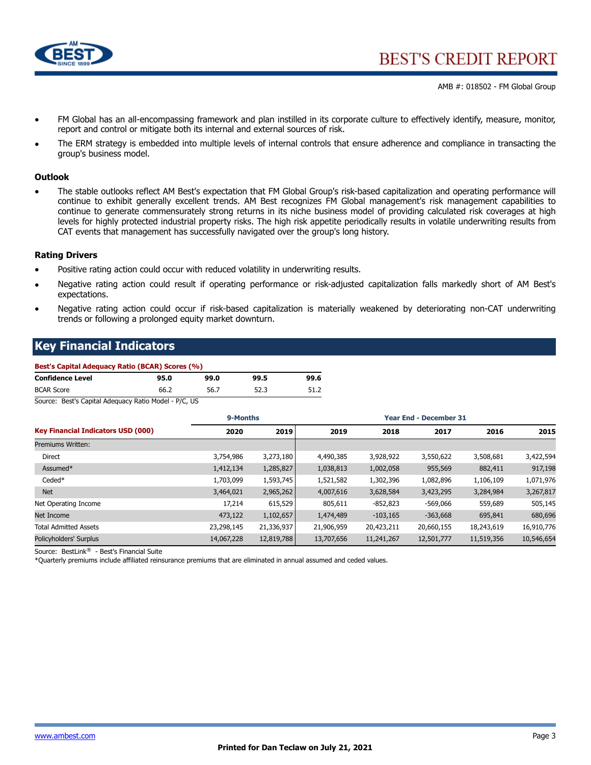

- FM Global has an all-encompassing framework and plan instilled in its corporate culture to effectively identify, measure, monitor, report and control or mitigate both its internal and external sources of risk.
- The ERM strategy is embedded into multiple levels of internal controls that ensure adherence and compliance in transacting the group's business model.

#### **Outlook**

• The stable outlooks reflect AM Best's expectation that FM Global Group's risk-based capitalization and operating performance will continue to exhibit generally excellent trends. AM Best recognizes FM Global management's risk management capabilities to continue to generate commensurately strong returns in its niche business model of providing calculated risk coverages at high levels for highly protected industrial property risks. The high risk appetite periodically results in volatile underwriting results from CAT events that management has successfully navigated over the group's long history.

#### **Rating Drivers**

- Positive rating action could occur with reduced volatility in underwriting results.
- Negative rating action could result if operating performance or risk-adjusted capitalization falls markedly short of AM Best's expectations.
- Negative rating action could occur if risk-based capitalization is materially weakened by deteriorating non-CAT underwriting trends or following a prolonged equity market downturn.

## **Key Financial Indicators**

| Best's Capital Adequacy Ratio (BCAR) Scores (%) |      |      |      |      |  |  |  |  |  |  |
|-------------------------------------------------|------|------|------|------|--|--|--|--|--|--|
| <b>Confidence Level</b>                         | 95.0 | 99.0 | 99.5 | 99.6 |  |  |  |  |  |  |
| <b>BCAR Score</b>                               | 66.2 | 56.7 | 52.3 | 51.2 |  |  |  |  |  |  |

Source: Best's Capital Adequacy Ratio Model - P/C, US

|                                           | 9-Months   |            | <b>Year End - December 31</b> |            |            |            |            |
|-------------------------------------------|------------|------------|-------------------------------|------------|------------|------------|------------|
| <b>Key Financial Indicators USD (000)</b> | 2020       | 2019       | 2019                          | 2018       | 2017       | 2016       | 2015       |
| Premiums Written:                         |            |            |                               |            |            |            |            |
| Direct                                    | 3,754,986  | 3,273,180  | 4,490,385                     | 3,928,922  | 3,550,622  | 3,508,681  | 3,422,594  |
| Assumed*                                  | 1,412,134  | 1,285,827  | 1,038,813                     | 1,002,058  | 955,569    | 882,411    | 917,198    |
| Ceded*                                    | 1,703,099  | 1,593,745  | 1,521,582                     | 1,302,396  | 1,082,896  | 1,106,109  | 1,071,976  |
| <b>Net</b>                                | 3,464,021  | 2,965,262  | 4,007,616                     | 3,628,584  | 3,423,295  | 3,284,984  | 3,267,817  |
| Net Operating Income                      | 17,214     | 615,529    | 805,611                       | $-852,823$ | $-569,066$ | 559,689    | 505,145    |
| Net Income                                | 473,122    | 1,102,657  | 1,474,489                     | $-103,165$ | $-363,668$ | 695,841    | 680,696    |
| <b>Total Admitted Assets</b>              | 23,298,145 | 21,336,937 | 21,906,959                    | 20,423,211 | 20,660,155 | 18,243,619 | 16,910,776 |
| Policyholders' Surplus                    | 14,067,228 | 12,819,788 | 13,707,656                    | 11,241,267 | 12,501,777 | 11,519,356 | 10,546,654 |

Source: BestLink® - Best's Financial Suite

\*Quarterly premiums include affiliated reinsurance premiums that are eliminated in annual assumed and ceded values.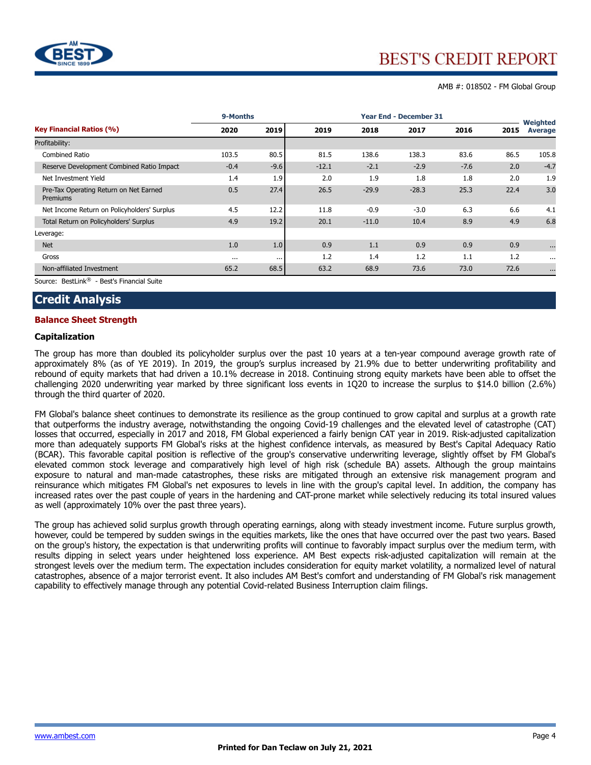

|                                                    | 9-Months |          |         |         | <b>Year End - December 31</b> |        |      |                     |
|----------------------------------------------------|----------|----------|---------|---------|-------------------------------|--------|------|---------------------|
| <b>Key Financial Ratios (%)</b>                    | 2020     | 2019     | 2019    | 2018    | 2017                          | 2016   | 2015 | Weighted<br>Average |
| Profitability:                                     |          |          |         |         |                               |        |      |                     |
| Combined Ratio                                     | 103.5    | 80.5     | 81.5    | 138.6   | 138.3                         | 83.6   | 86.5 | 105.8               |
| Reserve Development Combined Ratio Impact          | $-0.4$   | $-9.6$   | $-12.1$ | $-2.1$  | $-2.9$                        | $-7.6$ | 2.0  | $-4.7$              |
| Net Investment Yield                               | 1.4      | 1.9      | 2.0     | 1.9     | 1.8                           | 1.8    | 2.0  | 1.9                 |
| Pre-Tax Operating Return on Net Earned<br>Premiums | 0.5      | 27.4     | 26.5    | $-29.9$ | $-28.3$                       | 25.3   | 22.4 | 3.0                 |
| Net Income Return on Policyholders' Surplus        | 4.5      | 12.2     | 11.8    | $-0.9$  | $-3.0$                        | 6.3    | 6.6  | 4.1                 |
| Total Return on Policyholders' Surplus             | 4.9      | 19.2     | 20.1    | $-11.0$ | 10.4                          | 8.9    | 4.9  | 6.8                 |
| Leverage:                                          |          |          |         |         |                               |        |      |                     |
| <b>Net</b>                                         | 1.0      | 1.0      | 0.9     | 1.1     | 0.9                           | 0.9    | 0.9  | $\cdots$            |
| Gross                                              | $\cdots$ | $\cdots$ | 1.2     | 1.4     | 1.2                           | 1.1    | 1.2  | $\cdots$            |
| Non-affiliated Investment                          | 65.2     | 68.5     | 63.2    | 68.9    | 73.6                          | 73.0   | 72.6 | $\cdots$            |

Source: BestLink® - Best's Financial Suite

## **Credit Analysis**

#### **Balance Sheet Strength**

#### **Capitalization**

The group has more than doubled its policyholder surplus over the past 10 years at a ten-year compound average growth rate of approximately 8% (as of YE 2019). In 2019, the group's surplus increased by 21.9% due to better underwriting profitability and rebound of equity markets that had driven a 10.1% decrease in 2018. Continuing strong equity markets have been able to offset the challenging 2020 underwriting year marked by three significant loss events in 1Q20 to increase the surplus to \$14.0 billion (2.6%) through the third quarter of 2020.

FM Global's balance sheet continues to demonstrate its resilience as the group continued to grow capital and surplus at a growth rate that outperforms the industry average, notwithstanding the ongoing Covid-19 challenges and the elevated level of catastrophe (CAT) losses that occurred, especially in 2017 and 2018, FM Global experienced a fairly benign CAT year in 2019. Risk-adjusted capitalization more than adequately supports FM Global's risks at the highest confidence intervals, as measured by Best's Capital Adequacy Ratio (BCAR). This favorable capital position is reflective of the group's conservative underwriting leverage, slightly offset by FM Global's elevated common stock leverage and comparatively high level of high risk (schedule BA) assets. Although the group maintains exposure to natural and man-made catastrophes, these risks are mitigated through an extensive risk management program and reinsurance which mitigates FM Global's net exposures to levels in line with the group's capital level. In addition, the company has increased rates over the past couple of years in the hardening and CAT-prone market while selectively reducing its total insured values as well (approximately 10% over the past three years).

The group has achieved solid surplus growth through operating earnings, along with steady investment income. Future surplus growth, however, could be tempered by sudden swings in the equities markets, like the ones that have occurred over the past two years. Based on the group's history, the expectation is that underwriting profits will continue to favorably impact surplus over the medium term, with results dipping in select years under heightened loss experience. AM Best expects risk-adjusted capitalization will remain at the strongest levels over the medium term. The expectation includes consideration for equity market volatility, a normalized level of natural catastrophes, absence of a major terrorist event. It also includes AM Best's comfort and understanding of FM Global's risk management capability to effectively manage through any potential Covid-related Business Interruption claim filings.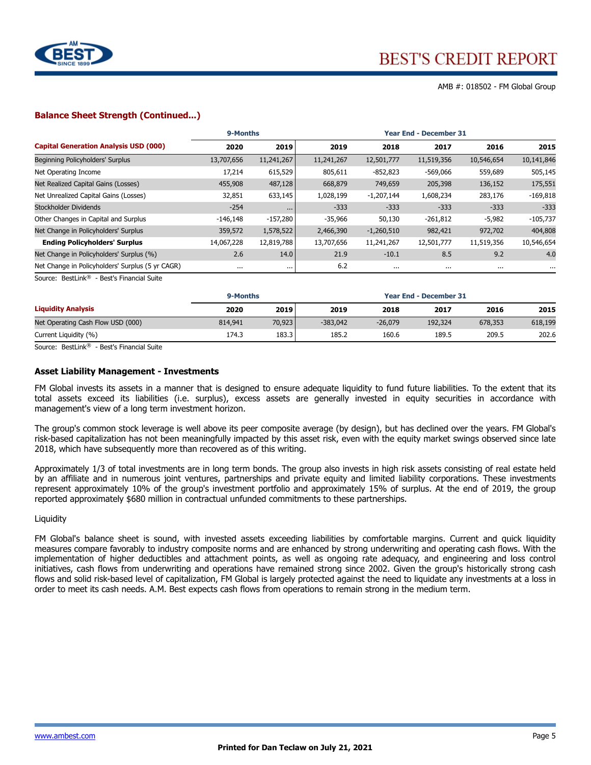

AMB #: 018502 - FM Global Group

#### **Balance Sheet Strength (Continued...)**

|                                                  |            | 9-Months<br><b>Year End - December 31</b> |            |              |            |            |            |  |  |
|--------------------------------------------------|------------|-------------------------------------------|------------|--------------|------------|------------|------------|--|--|
| <b>Capital Generation Analysis USD (000)</b>     | 2020       | 2019                                      | 2019       | 2018         | 2017       | 2016       | 2015       |  |  |
| Beginning Policyholders' Surplus                 | 13,707,656 | 11,241,267                                | 11,241,267 | 12,501,777   | 11,519,356 | 10,546,654 | 10,141,846 |  |  |
| Net Operating Income                             | 17,214     | 615,529                                   | 805,611    | $-852,823$   | $-569,066$ | 559,689    | 505,145    |  |  |
| Net Realized Capital Gains (Losses)              | 455,908    | 487,128                                   | 668,879    | 749,659      | 205,398    | 136,152    | 175,551    |  |  |
| Net Unrealized Capital Gains (Losses)            | 32,851     | 633,145                                   | 1,028,199  | $-1,207,144$ | 1,608,234  | 283,176    | $-169,818$ |  |  |
| Stockholder Dividends                            | $-254$     | $\cdots$                                  | $-333$     | $-333$       | $-333$     | $-333$     | $-333$     |  |  |
| Other Changes in Capital and Surplus             | $-146,148$ | $-157,280$                                | $-35,966$  | 50,130       | $-261,812$ | $-5,982$   | $-105,737$ |  |  |
| Net Change in Policyholders' Surplus             | 359,572    | 1,578,522                                 | 2,466,390  | $-1,260,510$ | 982,421    | 972,702    | 404,808    |  |  |
| <b>Ending Policyholders' Surplus</b>             | 14,067,228 | 12,819,788                                | 13,707,656 | 11,241,267   | 12,501,777 | 11,519,356 | 10,546,654 |  |  |
| Net Change in Policyholders' Surplus (%)         | 2.6        | 14.0                                      | 21.9       | $-10.1$      | 8.5        | 9.2        | 4.0        |  |  |
| Net Change in Policyholders' Surplus (5 yr CAGR) | $\cdots$   | $\cdots$                                  | 6.2        | $\cdots$     | $\cdots$   | $\cdots$   | $\cdots$   |  |  |

Source: BestLink® - Best's Financial Suite

|                                   | 9-Months |        |            | <b>Year End - December 31</b> |         |         |         |
|-----------------------------------|----------|--------|------------|-------------------------------|---------|---------|---------|
| <b>Liquidity Analysis</b>         | 2020     | 2019   | 2019       | 2018                          | 2017    | 2016    | 2015    |
| Net Operating Cash Flow USD (000) | 814,941  | 70,923 | $-383.042$ | $-26.079$                     | 192,324 | 678,353 | 618,199 |
| Current Liquidity (%)             | 174.3    | 183.3  | 185.2      | 160.6                         | 189.5   | 209.5   | 202.6   |

Source: BestLink® - Best's Financial Suite

#### **Asset Liability Management - Investments**

FM Global invests its assets in a manner that is designed to ensure adequate liquidity to fund future liabilities. To the extent that its total assets exceed its liabilities (i.e. surplus), excess assets are generally invested in equity securities in accordance with management's view of a long term investment horizon.

The group's common stock leverage is well above its peer composite average (by design), but has declined over the years. FM Global's risk-based capitalization has not been meaningfully impacted by this asset risk, even with the equity market swings observed since late 2018, which have subsequently more than recovered as of this writing.

Approximately 1/3 of total investments are in long term bonds. The group also invests in high risk assets consisting of real estate held by an affiliate and in numerous joint ventures, partnerships and private equity and limited liability corporations. These investments represent approximately 10% of the group's investment portfolio and approximately 15% of surplus. At the end of 2019, the group reported approximately \$680 million in contractual unfunded commitments to these partnerships.

#### **Liquidity**

FM Global's balance sheet is sound, with invested assets exceeding liabilities by comfortable margins. Current and quick liquidity measures compare favorably to industry composite norms and are enhanced by strong underwriting and operating cash flows. With the implementation of higher deductibles and attachment points, as well as ongoing rate adequacy, and engineering and loss control initiatives, cash flows from underwriting and operations have remained strong since 2002. Given the group's historically strong cash flows and solid risk-based level of capitalization, FM Global is largely protected against the need to liquidate any investments at a loss in order to meet its cash needs. A.M. Best expects cash flows from operations to remain strong in the medium term.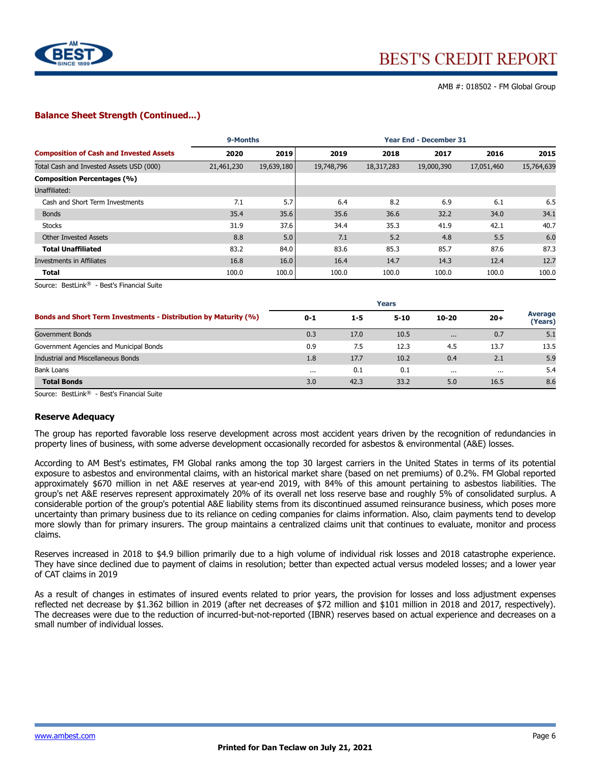

#### **Balance Sheet Strength (Continued...)**

|                                                | 9-Months   |            | <b>Year End - December 31</b> |            |            |            |            |  |
|------------------------------------------------|------------|------------|-------------------------------|------------|------------|------------|------------|--|
| <b>Composition of Cash and Invested Assets</b> | 2020       | 2019       | 2019                          | 2018       | 2017       | 2016       | 2015       |  |
| Total Cash and Invested Assets USD (000)       | 21,461,230 | 19,639,180 | 19,748,796                    | 18,317,283 | 19,000,390 | 17,051,460 | 15,764,639 |  |
| <b>Composition Percentages (%)</b>             |            |            |                               |            |            |            |            |  |
| Unaffiliated:                                  |            |            |                               |            |            |            |            |  |
| Cash and Short Term Investments                | 7.1        | 5.7        | 6.4                           | 8.2        | 6.9        | 6.1        | 6.5        |  |
| <b>Bonds</b>                                   | 35.4       | 35.6       | 35.6                          | 36.6       | 32.2       | 34.0       | 34.1       |  |
| <b>Stocks</b>                                  | 31.9       | 37.6       | 34.4                          | 35.3       | 41.9       | 42.1       | 40.7       |  |
| <b>Other Invested Assets</b>                   | 8.8        | 5.0        | 7.1                           | 5.2        | 4.8        | 5.5        | 6.0        |  |
| <b>Total Unaffiliated</b>                      | 83.2       | 84.0       | 83.6                          | 85.3       | 85.7       | 87.6       | 87.3       |  |
| <b>Investments in Affiliates</b>               | 16.8       | 16.0       | 16.4                          | 14.7       | 14.3       | 12.4       | 12.7       |  |
| <b>Total</b>                                   | 100.0      | 100.0      | 100.0                         | 100.0      | 100.0      | 100.0      | 100.0      |  |

Source: BestLink<sup>®</sup> - Best's Financial Suite

|                                                                        | <b>Years</b> |         |          |          |       |                           |  |  |
|------------------------------------------------------------------------|--------------|---------|----------|----------|-------|---------------------------|--|--|
| <b>Bonds and Short Term Investments - Distribution by Maturity (%)</b> | $0 - 1$      | $1 - 5$ | $5 - 10$ | 10-20    | $20+$ | <b>Average</b><br>(Years) |  |  |
| Government Bonds                                                       | 0.3          | 17.0    | 10.5     | $\cdots$ | 0.7   | 5.1                       |  |  |
| Government Agencies and Municipal Bonds                                | 0.9          | 7.5     | 12.3     | 4.5      | 13.7  | 13.5                      |  |  |
| <b>Industrial and Miscellaneous Bonds</b>                              | 1.8          | 17.7    | 10.2     | 0.4      | 2.1   | 5.9                       |  |  |
| <b>Bank Loans</b>                                                      | $\cdots$     | 0.1     | 0.1      | $\cdots$ |       | 5.4                       |  |  |
| <b>Total Bonds</b>                                                     | 3.0          | 42.3    | 33.2     | 5.0      | 16.5  | 8.6                       |  |  |

Source: BestLink® - Best's Financial Suite

#### **Reserve Adequacy**

The group has reported favorable loss reserve development across most accident years driven by the recognition of redundancies in property lines of business, with some adverse development occasionally recorded for asbestos & environmental (A&E) losses.

According to AM Best's estimates, FM Global ranks among the top 30 largest carriers in the United States in terms of its potential exposure to asbestos and environmental claims, with an historical market share (based on net premiums) of 0.2%. FM Global reported approximately \$670 million in net A&E reserves at year-end 2019, with 84% of this amount pertaining to asbestos liabilities. The group's net A&E reserves represent approximately 20% of its overall net loss reserve base and roughly 5% of consolidated surplus. A considerable portion of the group's potential A&E liability stems from its discontinued assumed reinsurance business, which poses more uncertainty than primary business due to its reliance on ceding companies for claims information. Also, claim payments tend to develop more slowly than for primary insurers. The group maintains a centralized claims unit that continues to evaluate, monitor and process claims.

Reserves increased in 2018 to \$4.9 billion primarily due to a high volume of individual risk losses and 2018 catastrophe experience. They have since declined due to payment of claims in resolution; better than expected actual versus modeled losses; and a lower year of CAT claims in 2019

As a result of changes in estimates of insured events related to prior years, the provision for losses and loss adjustment expenses reflected net decrease by \$1.362 billion in 2019 (after net decreases of \$72 million and \$101 million in 2018 and 2017, respectively). The decreases were due to the reduction of incurred-but-not-reported (IBNR) reserves based on actual experience and decreases on a small number of individual losses.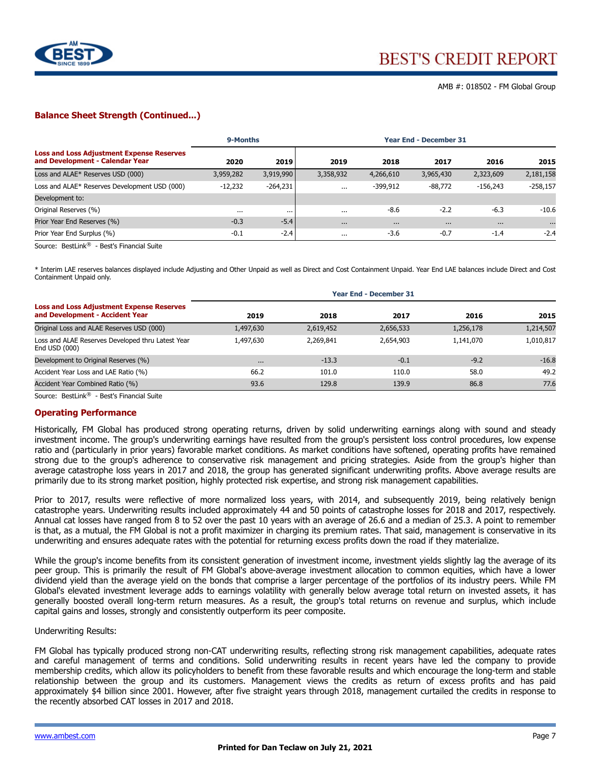

#### **Balance Sheet Strength (Continued...)**

|                                                                                     | 9-Months  |            | <b>Year End - December 31</b> |            |           |            |            |  |
|-------------------------------------------------------------------------------------|-----------|------------|-------------------------------|------------|-----------|------------|------------|--|
| <b>Loss and Loss Adjustment Expense Reserves</b><br>and Development - Calendar Year | 2020      | 2019       | 2019                          | 2018       | 2017      | 2016       | 2015       |  |
| Loss and ALAE* Reserves USD (000)                                                   | 3,959,282 | 3,919,990  | 3,358,932                     | 4,266,610  | 3,965,430 | 2,323,609  | 2,181,158  |  |
| Loss and ALAE* Reserves Development USD (000)                                       | $-12,232$ | $-264,231$ | $\cdots$                      | $-399.912$ | $-88,772$ | $-156.243$ | $-258,157$ |  |
| Development to:                                                                     |           |            |                               |            |           |            |            |  |
| Original Reserves (%)                                                               | $\cdots$  | $\cdots$   | $\cdots$                      | $-8.6$     | $-2.2$    | $-6.3$     | $-10.6$    |  |
| Prior Year End Reserves (%)                                                         | $-0.3$    | $-5.4$     | $\cdots$                      | $\cdots$   | $\cdots$  | $\cdots$   | $\cdots$   |  |
| Prior Year End Surplus (%)                                                          | $-0.1$    | $-2.4$     | $\cdots$                      | $-3.6$     | $-0.7$    | $-1.4$     | $-2.4$     |  |

Source: BestLink® - Best's Financial Suite

\* Interim LAE reserves balances displayed include Adjusting and Other Unpaid as well as Direct and Cost Containment Unpaid. Year End LAE balances include Direct and Cost Containment Unpaid only.

|                                                                                     | <b>Year End - December 31</b> |           |           |           |           |  |  |  |  |
|-------------------------------------------------------------------------------------|-------------------------------|-----------|-----------|-----------|-----------|--|--|--|--|
| <b>Loss and Loss Adjustment Expense Reserves</b><br>and Development - Accident Year | 2019                          | 2018      | 2017      | 2016      | 2015      |  |  |  |  |
| Original Loss and ALAE Reserves USD (000)                                           | 1,497,630                     | 2,619,452 | 2,656,533 | 1,256,178 | 1,214,507 |  |  |  |  |
| Loss and ALAE Reserves Developed thru Latest Year<br>End USD (000)                  | 1,497,630                     | 2,269,841 | 2,654,903 | 1,141,070 | 1,010,817 |  |  |  |  |
| Development to Original Reserves (%)                                                | $\cdots$                      | $-13.3$   | $-0.1$    | $-9.2$    | $-16.8$   |  |  |  |  |
| Accident Year Loss and LAE Ratio (%)                                                | 66.2                          | 101.0     | 110.0     | 58.0      | 49.2      |  |  |  |  |
| Accident Year Combined Ratio (%)                                                    | 93.6                          | 129.8     | 139.9     | 86.8      | 77.6      |  |  |  |  |

Source: BestLink® - Best's Financial Suite

#### **Operating Performance**

Historically, FM Global has produced strong operating returns, driven by solid underwriting earnings along with sound and steady investment income. The group's underwriting earnings have resulted from the group's persistent loss control procedures, low expense ratio and (particularly in prior years) favorable market conditions. As market conditions have softened, operating profits have remained strong due to the group's adherence to conservative risk management and pricing strategies. Aside from the group's higher than average catastrophe loss years in 2017 and 2018, the group has generated significant underwriting profits. Above average results are primarily due to its strong market position, highly protected risk expertise, and strong risk management capabilities.

Prior to 2017, results were reflective of more normalized loss years, with 2014, and subsequently 2019, being relatively benign catastrophe years. Underwriting results included approximately 44 and 50 points of catastrophe losses for 2018 and 2017, respectively. Annual cat losses have ranged from 8 to 52 over the past 10 years with an average of 26.6 and a median of 25.3. A point to remember is that, as a mutual, the FM Global is not a profit maximizer in charging its premium rates. That said, management is conservative in its underwriting and ensures adequate rates with the potential for returning excess profits down the road if they materialize.

While the group's income benefits from its consistent generation of investment income, investment yields slightly lag the average of its peer group. This is primarily the result of FM Global's above-average investment allocation to common equities, which have a lower dividend yield than the average yield on the bonds that comprise a larger percentage of the portfolios of its industry peers. While FM Global's elevated investment leverage adds to earnings volatility with generally below average total return on invested assets, it has generally boosted overall long-term return measures. As a result, the group's total returns on revenue and surplus, which include capital gains and losses, strongly and consistently outperform its peer composite.

#### Underwriting Results:

FM Global has typically produced strong non-CAT underwriting results, reflecting strong risk management capabilities, adequate rates and careful management of terms and conditions. Solid underwriting results in recent years have led the company to provide membership credits, which allow its policyholders to benefit from these favorable results and which encourage the long-term and stable relationship between the group and its customers. Management views the credits as return of excess profits and has paid approximately \$4 billion since 2001. However, after five straight years through 2018, management curtailed the credits in response to the recently absorbed CAT losses in 2017 and 2018.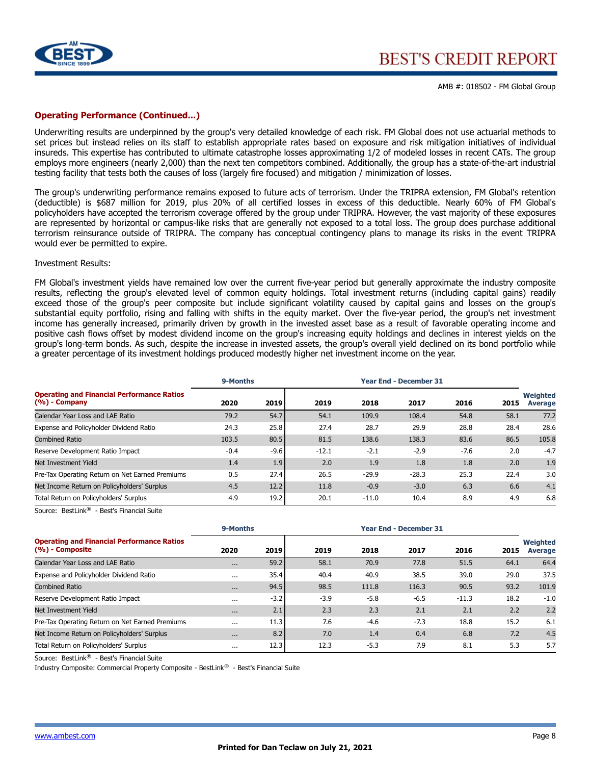

#### **Operating Performance (Continued...)**

Underwriting results are underpinned by the group's very detailed knowledge of each risk. FM Global does not use actuarial methods to set prices but instead relies on its staff to establish appropriate rates based on exposure and risk mitigation initiatives of individual insureds. This expertise has contributed to ultimate catastrophe losses approximating 1/2 of modeled losses in recent CATs. The group employs more engineers (nearly 2,000) than the next ten competitors combined. Additionally, the group has a state-of-the-art industrial testing facility that tests both the causes of loss (largely fire focused) and mitigation / minimization of losses.

The group's underwriting performance remains exposed to future acts of terrorism. Under the TRIPRA extension, FM Global's retention (deductible) is \$687 million for 2019, plus 20% of all certified losses in excess of this deductible. Nearly 60% of FM Global's policyholders have accepted the terrorism coverage offered by the group under TRIPRA. However, the vast majority of these exposures are represented by horizontal or campus-like risks that are generally not exposed to a total loss. The group does purchase additional terrorism reinsurance outside of TRIPRA. The company has conceptual contingency plans to manage its risks in the event TRIPRA would ever be permitted to expire.

#### Investment Results:

FM Global's investment yields have remained low over the current five-year period but generally approximate the industry composite results, reflecting the group's elevated level of common equity holdings. Total investment returns (including capital gains) readily exceed those of the group's peer composite but include significant volatility caused by capital gains and losses on the group's substantial equity portfolio, rising and falling with shifts in the equity market. Over the five-year period, the group's net investment income has generally increased, primarily driven by growth in the invested asset base as a result of favorable operating income and positive cash flows offset by modest dividend income on the group's increasing equity holdings and declines in interest yields on the group's long-term bonds. As such, despite the increase in invested assets, the group's overall yield declined on its bond portfolio while a greater percentage of its investment holdings produced modestly higher net investment income on the year.

|                                                                                                                                                          | 9-Months |        |         |         | <b>Year End - December 31</b> |        |      |                            |
|----------------------------------------------------------------------------------------------------------------------------------------------------------|----------|--------|---------|---------|-------------------------------|--------|------|----------------------------|
| <b>Operating and Financial Performance Ratios</b><br>$(%)$ - Company                                                                                     | 2020     | 2019   | 2019    | 2018    | 2017                          | 2016   | 2015 | Weighted<br><b>Average</b> |
| Calendar Year Loss and LAE Ratio                                                                                                                         | 79.2     | 54.7   | 54.1    | 109.9   | 108.4                         | 54.8   | 58.1 | 77.2                       |
| Expense and Policyholder Dividend Ratio                                                                                                                  | 24.3     | 25.8   | 27.4    | 28.7    | 29.9                          | 28.8   | 28.4 | 28.6                       |
| <b>Combined Ratio</b>                                                                                                                                    | 103.5    | 80.5   | 81.5    | 138.6   | 138.3                         | 83.6   | 86.5 | 105.8                      |
| Reserve Development Ratio Impact                                                                                                                         | $-0.4$   | $-9.6$ | $-12.1$ | $-2.1$  | $-2.9$                        | $-7.6$ | 2.0  | $-4.7$                     |
| Net Investment Yield                                                                                                                                     | 1.4      | 1.9    | 2.0     | 1.9     | 1.8                           | 1.8    | 2.0  | 1.9                        |
| Pre-Tax Operating Return on Net Earned Premiums                                                                                                          | 0.5      | 27.4   | 26.5    | $-29.9$ | $-28.3$                       | 25.3   | 22.4 | 3.0                        |
| Net Income Return on Policyholders' Surplus                                                                                                              | 4.5      | 12.2   | 11.8    | $-0.9$  | $-3.0$                        | 6.3    | 6.6  | 4.1                        |
| Total Return on Policyholders' Surplus<br>- 1995년 - 1996년 - 1997년 - 1997년 - 1997년 - 1997년 - 1997년 - 1997년 - 1997년 - 1997년 - 1997년 - 1997년 - 1997년 - 1997 | 4.9      | 19.2   | 20.1    | $-11.0$ | 10.4                          | 8.9    | 4.9  | 6.8                        |

Source: BestLink® - Best's Financial Suite

|                                                                         | 9-Months |        |        | <b>Year End - December 31</b> |        |         |      |                                   |
|-------------------------------------------------------------------------|----------|--------|--------|-------------------------------|--------|---------|------|-----------------------------------|
| <b>Operating and Financial Performance Ratios</b><br>$(% )$ - Composite | 2020     | 2019   | 2019   | 2018                          | 2017   | 2016    | 2015 | <b>Weighted</b><br><b>Average</b> |
| Calendar Year Loss and LAE Ratio                                        | $\cdots$ | 59.2   | 58.1   | 70.9                          | 77.8   | 51.5    | 64.1 | 64.4                              |
| Expense and Policyholder Dividend Ratio                                 | $\cdots$ | 35.4   | 40.4   | 40.9                          | 38.5   | 39.0    | 29.0 | 37.5                              |
| <b>Combined Ratio</b>                                                   | $\cdots$ | 94.5   | 98.5   | 111.8                         | 116.3  | 90.5    | 93.2 | 101.9                             |
| Reserve Development Ratio Impact                                        | $\cdots$ | $-3.2$ | $-3.9$ | $-5.8$                        | $-6.5$ | $-11.3$ | 18.2 | $-1.0$                            |
| Net Investment Yield                                                    | $\cdots$ | 2.1    | 2.3    | 2.3                           | 2.1    | 2.1     | 2.2  | 2.2                               |
| Pre-Tax Operating Return on Net Earned Premiums                         | $\cdots$ | 11.3   | 7.6    | $-4.6$                        | $-7.3$ | 18.8    | 15.2 | 6.1                               |
| Net Income Return on Policyholders' Surplus                             | $\cdots$ | 8.2    | 7.0    | 1.4                           | 0.4    | 6.8     | 7.2  | 4.5                               |
| Total Return on Policyholders' Surplus                                  | $\cdots$ | 12.3   | 12.3   | $-5.3$                        | 7.9    | 8.1     | 5.3  | 5.7                               |

Source: BestLink® - Best's Financial Suite

Industry Composite: Commercial Property Composite - BestLink® - Best's Financial Suite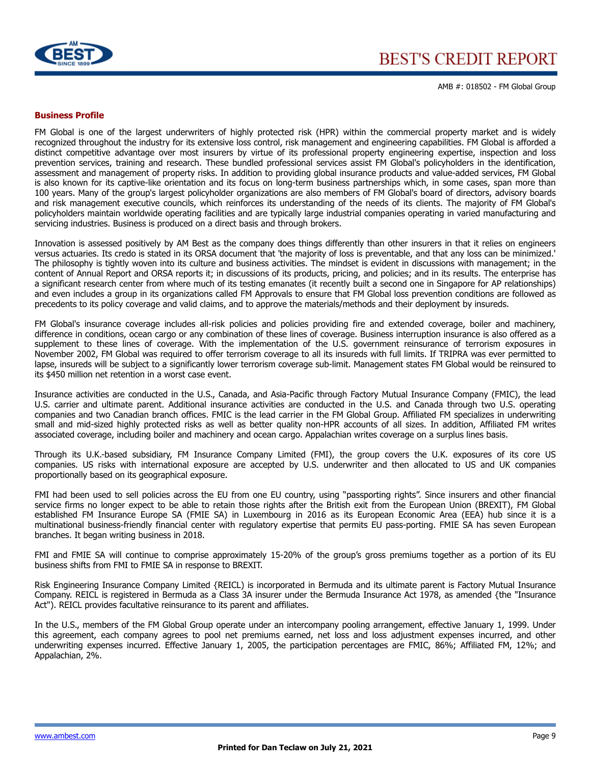

AMB #: 018502 - FM Global Group

#### **Business Profile**

FM Global is one of the largest underwriters of highly protected risk (HPR) within the commercial property market and is widely recognized throughout the industry for its extensive loss control, risk management and engineering capabilities. FM Global is afforded a distinct competitive advantage over most insurers by virtue of its professional property engineering expertise, inspection and loss prevention services, training and research. These bundled professional services assist FM Global's policyholders in the identification, assessment and management of property risks. In addition to providing global insurance products and value-added services, FM Global is also known for its captive-like orientation and its focus on long-term business partnerships which, in some cases, span more than 100 years. Many of the group's largest policyholder organizations are also members of FM Global's board of directors, advisory boards and risk management executive councils, which reinforces its understanding of the needs of its clients. The majority of FM Global's policyholders maintain worldwide operating facilities and are typically large industrial companies operating in varied manufacturing and servicing industries. Business is produced on a direct basis and through brokers.

Innovation is assessed positively by AM Best as the company does things differently than other insurers in that it relies on engineers versus actuaries. Its credo is stated in its ORSA document that 'the majority of loss is preventable, and that any loss can be minimized.' The philosophy is tightly woven into its culture and business activities. The mindset is evident in discussions with management; in the content of Annual Report and ORSA reports it; in discussions of its products, pricing, and policies; and in its results. The enterprise has a significant research center from where much of its testing emanates (it recently built a second one in Singapore for AP relationships) and even includes a group in its organizations called FM Approvals to ensure that FM Global loss prevention conditions are followed as precedents to its policy coverage and valid claims, and to approve the materials/methods and their deployment by insureds.

FM Global's insurance coverage includes all-risk policies and policies providing fire and extended coverage, boiler and machinery, difference in conditions, ocean cargo or any combination of these lines of coverage. Business interruption insurance is also offered as a supplement to these lines of coverage. With the implementation of the U.S. government reinsurance of terrorism exposures in November 2002, FM Global was required to offer terrorism coverage to all its insureds with full limits. If TRIPRA was ever permitted to lapse, insureds will be subject to a significantly lower terrorism coverage sub-limit. Management states FM Global would be reinsured to its \$450 million net retention in a worst case event.

Insurance activities are conducted in the U.S., Canada, and Asia-Pacific through Factory Mutual Insurance Company (FMIC), the lead U.S. carrier and ultimate parent. Additional insurance activities are conducted in the U.S. and Canada through two U.S. operating companies and two Canadian branch offices. FMIC is the lead carrier in the FM Global Group. Affiliated FM specializes in underwriting small and mid-sized highly protected risks as well as better quality non-HPR accounts of all sizes. In addition, Affiliated FM writes associated coverage, including boiler and machinery and ocean cargo. Appalachian writes coverage on a surplus lines basis.

Through its U.K.-based subsidiary, FM Insurance Company Limited (FMI), the group covers the U.K. exposures of its core US companies. US risks with international exposure are accepted by U.S. underwriter and then allocated to US and UK companies proportionally based on its geographical exposure.

FMI had been used to sell policies across the EU from one EU country, using "passporting rights". Since insurers and other financial service firms no longer expect to be able to retain those rights after the British exit from the European Union (BREXIT), FM Global established FM Insurance Europe SA (FMIE SA) in Luxembourg in 2016 as its European Economic Area (EEA) hub since it is a multinational business-friendly financial center with regulatory expertise that permits EU pass-porting. FMIE SA has seven European branches. It began writing business in 2018.

FMI and FMIE SA will continue to comprise approximately 15-20% of the group's gross premiums together as a portion of its EU business shifts from FMI to FMIE SA in response to BREXIT.

Risk Engineering Insurance Company Limited {REICL) is incorporated in Bermuda and its ultimate parent is Factory Mutual Insurance Company. REICL is registered in Bermuda as a Class 3A insurer under the Bermuda Insurance Act 1978, as amended {the "Insurance Act"). REICL provides facultative reinsurance to its parent and affiliates.

In the U.S., members of the FM Global Group operate under an intercompany pooling arrangement, effective January 1, 1999. Under this agreement, each company agrees to pool net premiums earned, net loss and loss adjustment expenses incurred, and other underwriting expenses incurred. Effective January 1, 2005, the participation percentages are FMIC, 86%; Affiliated FM, 12%; and Appalachian, 2%.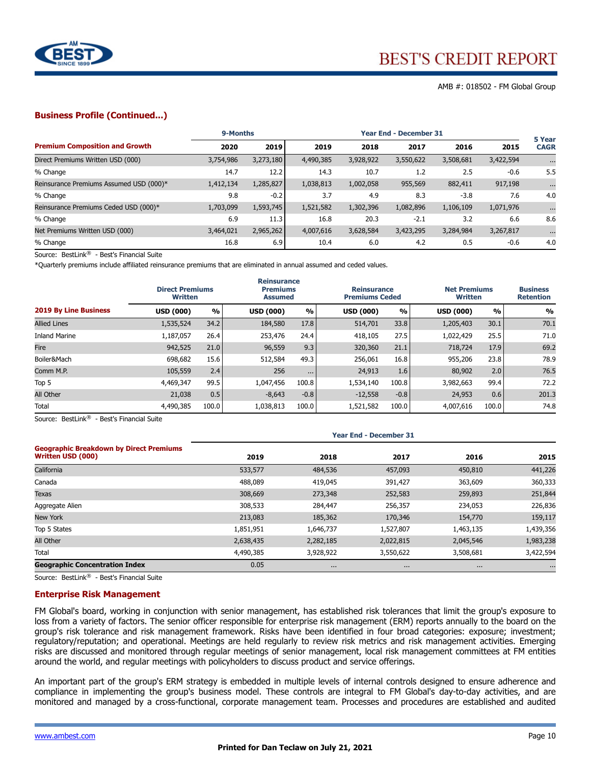

AMB #: 018502 - FM Global Group

#### **Business Profile (Continued...)**

|                                         | 9-Months  |           | <b>Year End - December 31</b> |           |           |           |           | 5 Year      |
|-----------------------------------------|-----------|-----------|-------------------------------|-----------|-----------|-----------|-----------|-------------|
| <b>Premium Composition and Growth</b>   | 2020      | 2019      | 2019                          | 2018      | 2017      | 2016      | 2015      | <b>CAGR</b> |
| Direct Premiums Written USD (000)       | 3,754,986 | 3,273,180 | 4,490,385                     | 3,928,922 | 3,550,622 | 3,508,681 | 3,422,594 | $\cdots$    |
| % Change                                | 14.7      | 12.2      | 14.3                          | 10.7      | 1.2       | 2.5       | $-0.6$    | 5.5         |
| Reinsurance Premiums Assumed USD (000)* | 1,412,134 | 1,285,827 | 1,038,813                     | 1,002,058 | 955,569   | 882,411   | 917,198   | $\cdots$    |
| % Change                                | 9.8       | $-0.2$    | 3.7                           | 4.9       | 8.3       | $-3.8$    | 7.6       | 4.0         |
| Reinsurance Premiums Ceded USD (000)*   | 1,703,099 | 1,593,745 | 1,521,582                     | 1,302,396 | 1,082,896 | 1,106,109 | 1,071,976 | $\cdots$    |
| % Change                                | 6.9       | 11.3      | 16.8                          | 20.3      | $-2.1$    | 3.2       | 6.6       | 8.6         |
| Net Premiums Written USD (000)          | 3,464,021 | 2,965,262 | 4,007,616                     | 3,628,584 | 3,423,295 | 3,284,984 | 3,267,817 | $\cdots$    |
| % Change                                | 16.8      | 6.9       | 10.4                          | 6.0       | 4.2       | 0.5       | $-0.6$    | 4.0         |

Source: BestLink® - Best's Financial Suite

\*Quarterly premiums include affiliated reinsurance premiums that are eliminated in annual assumed and ceded values.

|                              | <b>Direct Premiums</b><br><b>Written</b> |       | <b>Reinsurance</b><br><b>Premiums</b><br><b>Assumed</b> |          | <b>Reinsurance</b><br><b>Premiums Ceded</b> |        | <b>Net Premiums</b><br><b>Written</b> |               | <b>Business</b><br><b>Retention</b> |  |
|------------------------------|------------------------------------------|-------|---------------------------------------------------------|----------|---------------------------------------------|--------|---------------------------------------|---------------|-------------------------------------|--|
| <b>2019 By Line Business</b> | <b>USD (000)</b>                         | %     | <b>USD (000)</b>                                        | %        | <b>USD (000)</b>                            | %      | <b>USD (000)</b>                      | $\frac{0}{0}$ | %                                   |  |
| <b>Allied Lines</b>          | 1,535,524                                | 34.2  | 184,580                                                 | 17.8     | 514,701                                     | 33.8   | 1,205,403                             | 30.1          | 70.1                                |  |
| <b>Inland Marine</b>         | 1,187,057                                | 26.4  | 253,476                                                 | 24.4     | 418,105                                     | 27.5   | 1,022,429                             | 25.5          | 71.0                                |  |
| Fire                         | 942,525                                  | 21.0  | 96,559                                                  | 9.3      | 320,360                                     | 21.1   | 718,724                               | 17.9          | 69.2                                |  |
| Boiler&Mach                  | 698,682                                  | 15.6  | 512,584                                                 | 49.3     | 256,061                                     | 16.8   | 955,206                               | 23.8          | 78.9                                |  |
| Comm M.P.                    | 105,559                                  | 2.4   | 256                                                     | $\cdots$ | 24,913                                      | 1.6    | 80,902                                | 2.0           | 76.5                                |  |
| Top 5                        | 4,469,347                                | 99.5  | 1,047,456                                               | 100.8    | 1,534,140                                   | 100.8  | 3,982,663                             | 99.4          | 72.2                                |  |
| All Other                    | 21,038                                   | 0.5   | $-8,643$                                                | $-0.8$   | $-12,558$                                   | $-0.8$ | 24,953                                | 0.6           | 201.3                               |  |
| Total                        | 4,490,385                                | 100.0 | 1,038,813                                               | 100.0    | 1,521,582                                   | 100.0  | 4,007,616                             | 100.0         | 74.8                                |  |

Source: BestLink® - Best's Financial Suite

|                                                                     | <b>Year End - December 31</b> |           |           |           |           |  |  |  |
|---------------------------------------------------------------------|-------------------------------|-----------|-----------|-----------|-----------|--|--|--|
| <b>Geographic Breakdown by Direct Premiums</b><br>Written USD (000) | 2019                          | 2018      | 2017      | 2016      | 2015      |  |  |  |
| California                                                          | 533,577                       | 484,536   | 457,093   | 450,810   | 441,226   |  |  |  |
| Canada                                                              | 488,089                       | 419,045   | 391,427   | 363,609   | 360,333   |  |  |  |
| <b>Texas</b>                                                        | 308,669                       | 273,348   | 252,583   | 259,893   | 251,844   |  |  |  |
| Aggregate Alien                                                     | 308,533                       | 284,447   | 256,357   | 234,053   | 226,836   |  |  |  |
| New York                                                            | 213,083                       | 185,362   | 170,346   | 154,770   | 159,117   |  |  |  |
| Top 5 States                                                        | 1,851,951                     | 1,646,737 | 1,527,807 | 1,463,135 | 1,439,356 |  |  |  |
| All Other                                                           | 2,638,435                     | 2,282,185 | 2,022,815 | 2,045,546 | 1,983,238 |  |  |  |
| Total                                                               | 4,490,385                     | 3,928,922 | 3,550,622 | 3,508,681 | 3,422,594 |  |  |  |
| <b>Geographic Concentration Index</b>                               | 0.05                          | $\cdots$  | $\cdots$  | $\cdots$  | $\cdots$  |  |  |  |

Source: BestLink® - Best's Financial Suite

#### **Enterprise Risk Management**

FM Global's board, working in conjunction with senior management, has established risk tolerances that limit the group's exposure to loss from a variety of factors. The senior officer responsible for enterprise risk management (ERM) reports annually to the board on the group's risk tolerance and risk management framework. Risks have been identified in four broad categories: exposure; investment; regulatory/reputation; and operational. Meetings are held regularly to review risk metrics and risk management activities. Emerging risks are discussed and monitored through regular meetings of senior management, local risk management committees at FM entities around the world, and regular meetings with policyholders to discuss product and service offerings.

An important part of the group's ERM strategy is embedded in multiple levels of internal controls designed to ensure adherence and compliance in implementing the group's business model. These controls are integral to FM Global's day-to-day activities, and are monitored and managed by a cross-functional, corporate management team. Processes and procedures are established and audited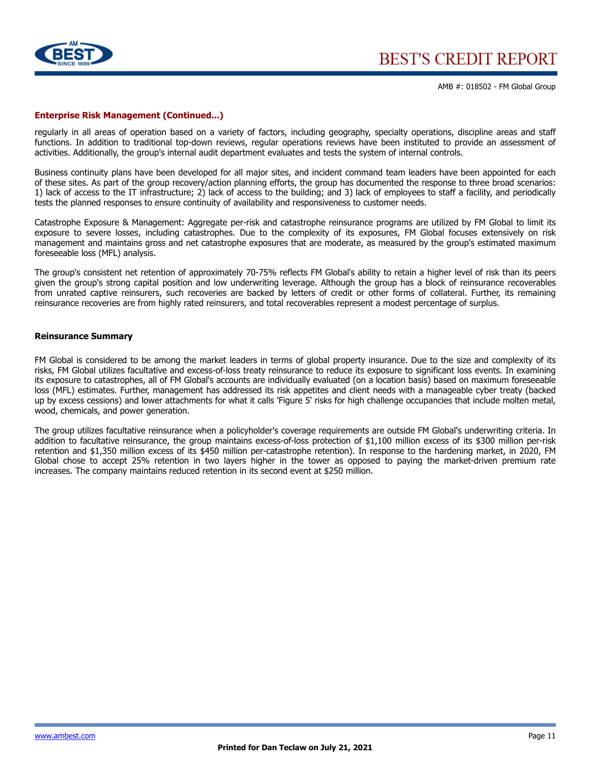

#### **Enterprise Risk Management (Continued...)**

regularly in all areas of operation based on a variety of factors, including geography, specialty operations, discipline areas and staff functions. In addition to traditional top-down reviews, regular operations reviews have been instituted to provide an assessment of activities. Additionally, the group's internal audit department evaluates and tests the system of internal controls.

Business continuity plans have been developed for all major sites, and incident command team leaders have been appointed for each of these sites. As part of the group recovery/action planning efforts, the group has documented the response to three broad scenarios: 1) lack of access to the IT infrastructure; 2) lack of access to the building; and 3) lack of employees to staff a facility, and periodically tests the planned responses to ensure continuity of availability and responsiveness to customer needs.

Catastrophe Exposure & Management: Aggregate per-risk and catastrophe reinsurance programs are utilized by FM Global to limit its exposure to severe losses, including catastrophes. Due to the complexity of its exposures, FM Global focuses extensively on risk management and maintains gross and net catastrophe exposures that are moderate, as measured by the group's estimated maximum foreseeable loss (MFL) analysis.

The group's consistent net retention of approximately 70-75% reflects FM Global's ability to retain a higher level of risk than its peers given the group's strong capital position and low underwriting leverage. Although the group has a block of reinsurance recoverables from unrated captive reinsurers, such recoveries are backed by letters of credit or other forms of collateral. Further, its remaining reinsurance recoveries are from highly rated reinsurers, and total recoverables represent a modest percentage of surplus.

#### **Reinsurance Summary**

FM Global is considered to be among the market leaders in terms of global property insurance. Due to the size and complexity of its risks, FM Global utilizes facultative and excess-of-loss treaty reinsurance to reduce its exposure to significant loss events. In examining its exposure to catastrophes, all of FM Global's accounts are individually evaluated (on a location basis) based on maximum foreseeable loss (MFL) estimates. Further, management has addressed its risk appetites and client needs with a manageable cyber treaty (backed up by excess cessions) and lower attachments for what it calls 'Figure 5' risks for high challenge occupancies that include molten metal, wood, chemicals, and power generation.

The group utilizes facultative reinsurance when a policyholder's coverage requirements are outside FM Global's underwriting criteria. In addition to facultative reinsurance, the group maintains excess-of-loss protection of \$1,100 million excess of its \$300 million per-risk retention and \$1,350 million excess of its \$450 million per-catastrophe retention). In response to the hardening market, in 2020, FM Global chose to accept 25% retention in two layers higher in the tower as opposed to paying the market-driven premium rate increases. The company maintains reduced retention in its second event at \$250 million.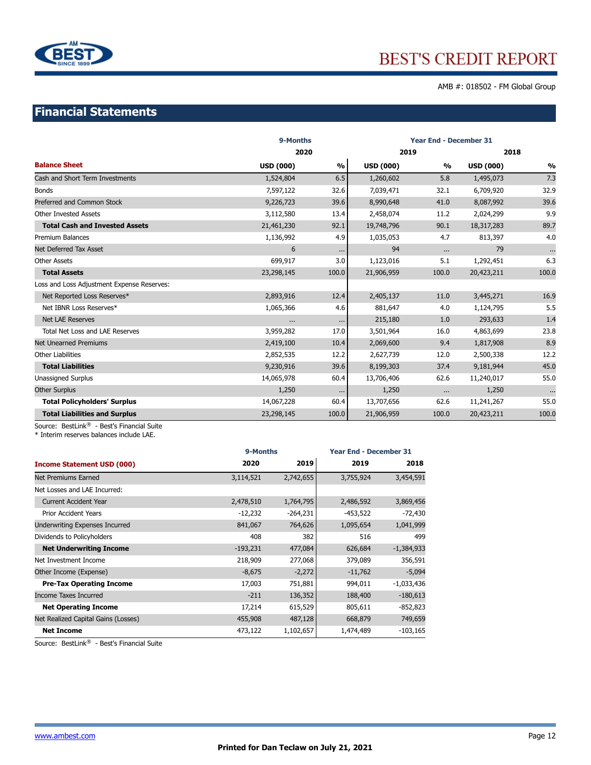

AMB #: 018502 - FM Global Group

## **Financial Statements**

|                                            | 9-Months         | <b>Year End - December 31</b> |                  |               |                  |          |
|--------------------------------------------|------------------|-------------------------------|------------------|---------------|------------------|----------|
|                                            |                  | 2020                          |                  | 2019          |                  | 2018     |
| <b>Balance Sheet</b>                       | <b>USD (000)</b> | %                             | <b>USD (000)</b> | $\frac{0}{0}$ | <b>USD (000)</b> | %        |
| Cash and Short Term Investments            | 1,524,804        | 6.5                           | 1,260,602        | 5.8           | 1,495,073        | 7.3      |
| <b>Bonds</b>                               | 7,597,122        | 32.6                          | 7,039,471        | 32.1          | 6,709,920        | 32.9     |
| Preferred and Common Stock                 | 9,226,723        | 39.6                          | 8,990,648        | 41.0          | 8,087,992        | 39.6     |
| <b>Other Invested Assets</b>               | 3,112,580        | 13.4                          | 2,458,074        | 11.2          | 2,024,299        | 9.9      |
| <b>Total Cash and Invested Assets</b>      | 21,461,230       | 92.1                          | 19,748,796       | 90.1          | 18,317,283       | 89.7     |
| <b>Premium Balances</b>                    | 1,136,992        | 4.9                           | 1,035,053        | 4.7           | 813,397          | 4.0      |
| Net Deferred Tax Asset                     | 6                | $\cdots$                      | 94               | $\cdots$      | 79               | $\cdots$ |
| <b>Other Assets</b>                        | 699,917          | 3.0                           | 1,123,016        | 5.1           | 1,292,451        | 6.3      |
| <b>Total Assets</b>                        | 23,298,145       | 100.0                         | 21,906,959       | 100.0         | 20,423,211       | 100.0    |
| Loss and Loss Adjustment Expense Reserves: |                  |                               |                  |               |                  |          |
| Net Reported Loss Reserves*                | 2,893,916        | 12.4                          | 2,405,137        | 11.0          | 3,445,271        | 16.9     |
| Net IBNR Loss Reserves*                    | 1,065,366        | 4.6                           | 881,647          | 4.0           | 1,124,795        | 5.5      |
| <b>Net LAE Reserves</b>                    | $\cdots$         | $\cdots$                      | 215,180          | 1.0           | 293,633          | 1.4      |
| <b>Total Net Loss and LAE Reserves</b>     | 3,959,282        | 17.0                          | 3,501,964        | 16.0          | 4,863,699        | 23.8     |
| <b>Net Unearned Premiums</b>               | 2,419,100        | 10.4                          | 2,069,600        | 9.4           | 1,817,908        | 8.9      |
| <b>Other Liabilities</b>                   | 2,852,535        | 12.2                          | 2,627,739        | 12.0          | 2,500,338        | 12.2     |
| <b>Total Liabilities</b>                   | 9,230,916        | 39.6                          | 8,199,303        | 37.4          | 9,181,944        | 45.0     |
| <b>Unassigned Surplus</b>                  | 14,065,978       | 60.4                          | 13,706,406       | 62.6          | 11,240,017       | 55.0     |
| <b>Other Surplus</b>                       | 1,250            | $\cdots$                      | 1,250            | $\cdots$      | 1,250            | $\cdots$ |
| <b>Total Policyholders' Surplus</b>        | 14,067,228       | 60.4                          | 13,707,656       | 62.6          | 11,241,267       | 55.0     |
| <b>Total Liabilities and Surplus</b>       | 23,298,145       | 100.0                         | 21,906,959       | 100.0         | 20,423,211       | 100.0    |

Source: BestLink® - Best's Financial Suite

\* Interim reserves balances include LAE.

|                                     | 9-Months   | <b>Year End - December 31</b> |           |              |
|-------------------------------------|------------|-------------------------------|-----------|--------------|
| <b>Income Statement USD (000)</b>   | 2020       | 2019                          | 2019      | 2018         |
| Net Premiums Earned                 | 3,114,521  | 2,742,655                     | 3,755,924 | 3,454,591    |
| Net Losses and LAE Incurred:        |            |                               |           |              |
| <b>Current Accident Year</b>        | 2,478,510  | 1,764,795                     | 2,486,592 | 3,869,456    |
| <b>Prior Accident Years</b>         | -12,232    | $-264,231$                    | -453,522  | $-72,430$    |
| Underwriting Expenses Incurred      | 841,067    | 764,626                       | 1,095,654 | 1,041,999    |
| Dividends to Policyholders          | 408        | 382                           | 516       | 499          |
| <b>Net Underwriting Income</b>      | $-193,231$ | 477,084                       | 626,684   | $-1,384,933$ |
| Net Investment Income               | 218,909    | 277,068                       | 379,089   | 356,591      |
| Other Income (Expense)              | $-8,675$   | $-2,272$                      | $-11,762$ | $-5,094$     |
| <b>Pre-Tax Operating Income</b>     | 17,003     | 751,881                       | 994,011   | $-1,033,436$ |
| <b>Income Taxes Incurred</b>        | $-211$     | 136,352                       | 188,400   | $-180,613$   |
| <b>Net Operating Income</b>         | 17,214     | 615,529                       | 805,611   | $-852,823$   |
| Net Realized Capital Gains (Losses) | 455,908    | 487,128                       | 668,879   | 749,659      |
| <b>Net Income</b>                   | 473,122    | 1,102,657                     | 1,474,489 | $-103,165$   |

Source: BestLink® - Best's Financial Suite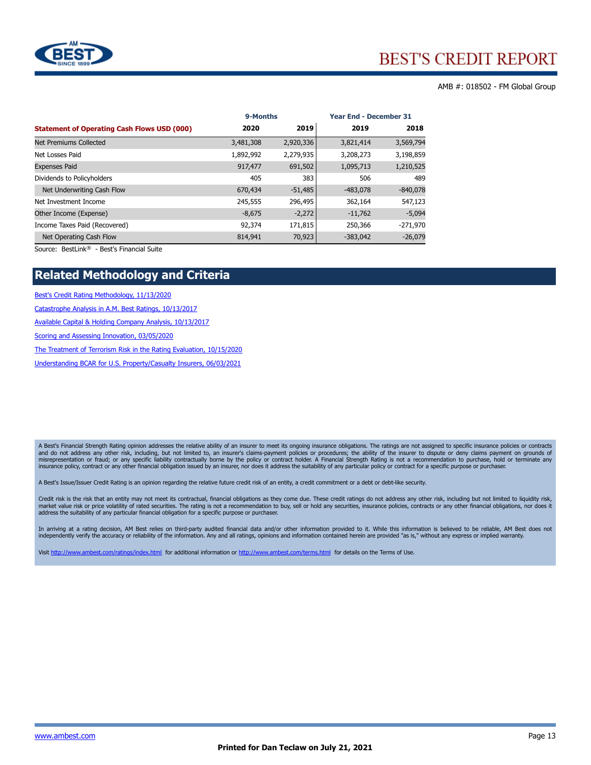

#### AMB #: 018502 - FM Global Group

|                                                    | 9-Months  |           | <b>Year End - December 31</b> |            |  |
|----------------------------------------------------|-----------|-----------|-------------------------------|------------|--|
| <b>Statement of Operating Cash Flows USD (000)</b> | 2020      | 2019      | 2019                          | 2018       |  |
| Net Premiums Collected                             | 3,481,308 | 2,920,336 | 3,821,414                     | 3,569,794  |  |
| Net Losses Paid                                    | 1,892,992 | 2,279,935 | 3,208,273                     | 3,198,859  |  |
| <b>Expenses Paid</b>                               | 917,477   | 691,502   | 1,095,713                     | 1,210,525  |  |
| Dividends to Policyholders                         | 405       | 383       | 506                           | 489        |  |
| Net Underwriting Cash Flow                         | 670,434   | $-51,485$ | $-483,078$                    | $-840,078$ |  |
| Net Investment Income                              | 245,555   | 296,495   | 362,164                       | 547,123    |  |
| Other Income (Expense)                             | $-8,675$  | $-2,272$  | $-11,762$                     | $-5,094$   |  |
| Income Taxes Paid (Recovered)                      | 92,374    | 171,815   | 250,366                       | $-271,970$ |  |
| Net Operating Cash Flow                            | 814,941   | 70,923    | $-383,042$                    | $-26,079$  |  |

Source: BestLink® - Best's Financial Suite

## **Related Methodology and Criteria**

[Best's Credit Rating Methodology, 11/13/2020](http://www3.ambest.com/ambv/ratingmethodology/OpenPDF.aspx?rc=250950)

[Catastrophe Analysis in A.M. Best Ratings, 10/13/2017](http://www3.ambest.com/ambv/ratingmethodology/OpenPDF.aspx?rc=190784)

[Available Capital & Holding Company Analysis, 10/13/2017](http://www3.ambest.com/ambv/ratingmethodology/OpenPDF.aspx?rc=266915)

[Scoring and Assessing Innovation, 03/05/2020](http://www3.ambest.com/ambv/ratingmethodology/OpenPDF.aspx?rc=295114)

[The Treatment of Terrorism Risk in the Rating Evaluation, 10/15/2020](http://www3.ambest.com/ambv/ratingmethodology/OpenPDF.aspx?rc=197680)

[Understanding BCAR for U.S. Property/Casualty Insurers, 06/03/2021](http://www3.ambest.com/ambv/ratingmethodology/OpenPDF.aspx?rc=197686)

A Best's Financial Strength Rating opinion addresses the relative ability of an insurer to meet its ongoing insurance obligations. The ratings are not assigned to specific insurance policies or contracts and do not address any other risk, including, but not limited to, an insurer's claims-payment policies or procedures; the ability of the insurer to dispute or deny claims payment on grounds of<br>misrepresentation or fraud; o

A Best's Issue/Issuer Credit Rating is an opinion regarding the relative future credit risk of an entity, a credit commitment or a debt or debt-like security.

Credit risk is the risk that an entity may not meet its contractual, financial obligations as they come due. These credit ratings do not address any other risk, including but not limited to liquidity risk,<br>market value ris address the suitability of any particular financial obligation for a specific purpose or purchaser.

In arriving at a rating decision, AM Best relies on third-party audited financial data and/or other information provided to it. While this information is believed to be reliable, AM Best does not independently verify the accuracy or reliability of the information. Any and all ratings, opinions and information contained herein are provided "as is," without any express or implied warranty.

Visit <http://www.ambest.com/ratings/index.html> for additional information or <http://www.ambest.com/terms.html> for details on the Terms of Use.